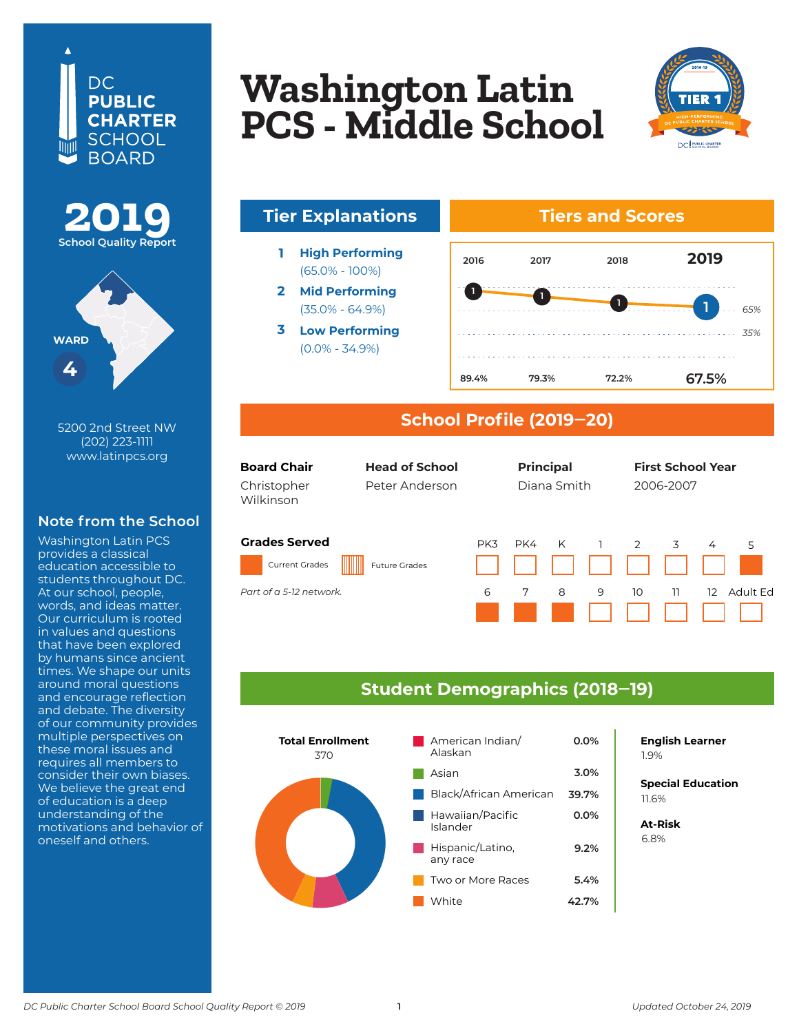





5200 2nd Street NW (202) 223-1111 www.latinpcs.org

#### **Note from the School**

Washington Latin PCS provides a classical education accessible to students throughout DC. At our school, people, words, and ideas matter. Our curriculum is rooted in values and questions that have been explored by humans since ancient times. We shape our units around moral questions and encourage reflection and debate. The diversity of our community provides multiple perspectives on these moral issues and requires all members to consider their own biases. We believe the great end of education is a deep understanding of the motivations and behavior of oneself and others.

### **W<sub>oobington Lotin**</sub> **Wasnington Lat<br>DCS – Middle Sek Columbia Heights Washington Latin PCS - Middle School**



## **Tier Explanations Tiers and Scores**

- **1 High Performing** (65.0% - 100%)
- **2 Mid Performing** (35.0% - 64.9%)
- **3 Low Performing** (0.0% - 34.9%)



#### **School Profile (2019‒20)**

| <b>Board Chair</b><br><b>Head of School</b><br>Christopher<br>Peter Anderson<br>Wilkinson |                      | <b>Principal</b><br>Diana Smith |     |   | <b>First School Year</b><br>2006-2007 |    |    |    |          |
|-------------------------------------------------------------------------------------------|----------------------|---------------------------------|-----|---|---------------------------------------|----|----|----|----------|
| <b>Grades Served</b><br><b>Current Grades</b>                                             | <b>Future Grades</b> | PK3                             | PK4 | K |                                       | 2  | 3  | 4  | 5        |
| Part of a 5-12 network.                                                                   |                      | 6                               | 7   | 8 | 9                                     | 10 | 11 | 12 | Adult Fd |

#### **Student Demographics (2018‒19)**



## **English Learner**

**Special Education** 6.2% 11.6%

**At-Risk** 37.0% 6.8%